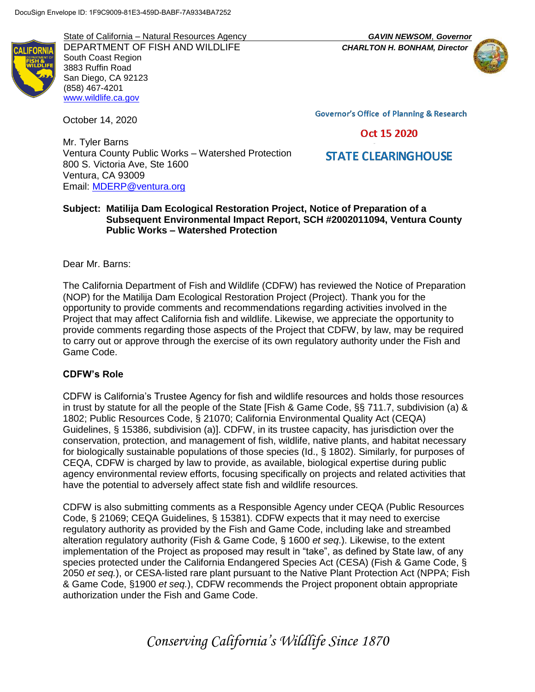800 S. Victoria Ave, Ste 1600

State of California – Natural Resources Agency *GAVIN NEWSOM*, *Governor* DEPARTMENT OF FISH AND WILDLIFE *CHARLTON H. BONHAM, Director* South Coast Region 3883 Ruffin Road San Diego, CA 92123 (858) 467-4201 [www.wildlife.ca.gov](http://www.wildlife.ca.gov/)

Ventura County Public Works – Watershed Protection

October 14, 2020

Ventura, CA 93009

Mr. Tyler Barns

**Governor's Office of Planning & Research** 

#### Oct 15 2020

# **STATE CLEARINGHOUSE**

## Email: [MDERP@ventura.org](mailto:MDERP@ventura.org) **Subject: Matilija Dam Ecological Restoration Project, Notice of Preparation of a Subsequent Environmental Impact Report, SCH #2002011094, Ventura County Public Works – Watershed Protection**

Dear Mr. Barns:

The California Department of Fish and Wildlife (CDFW) has reviewed the Notice of Preparation (NOP) for the Matilija Dam Ecological Restoration Project (Project). Thank you for the opportunity to provide comments and recommendations regarding activities involved in the Project that may affect California fish and wildlife. Likewise, we appreciate the opportunity to provide comments regarding those aspects of the Project that CDFW, by law, may be required to carry out or approve through the exercise of its own regulatory authority under the Fish and Game Code.

#### **CDFW's Role**

CDFW is California's Trustee Agency for fish and wildlife resources and holds those resources in trust by statute for all the people of the State [Fish & Game Code, §§ 711.7, subdivision (a) & 1802; Public Resources Code, § 21070; California Environmental Quality Act (CEQA) Guidelines, § 15386, subdivision (a)]. CDFW, in its trustee capacity, has jurisdiction over the conservation, protection, and management of fish, wildlife, native plants, and habitat necessary for biologically sustainable populations of those species (Id., § 1802). Similarly, for purposes of CEQA, CDFW is charged by law to provide, as available, biological expertise during public agency environmental review efforts, focusing specifically on projects and related activities that have the potential to adversely affect state fish and wildlife resources.

CDFW is also submitting comments as a Responsible Agency under CEQA (Public Resources Code, § 21069; CEQA Guidelines, § 15381). CDFW expects that it may need to exercise regulatory authority as provided by the Fish and Game Code, including lake and streambed alteration regulatory authority (Fish & Game Code, § 1600 *et seq*.). Likewise, to the extent implementation of the Project as proposed may result in "take", as defined by State law, of any species protected under the California Endangered Species Act (CESA) (Fish & Game Code, § 2050 *et seq.*), or CESA-listed rare plant pursuant to the Native Plant Protection Act (NPPA; Fish & Game Code, §1900 *et seq.*), CDFW recommends the Project proponent obtain appropriate authorization under the Fish and Game Code.

*Conserving California's Wildlife Since 1870*

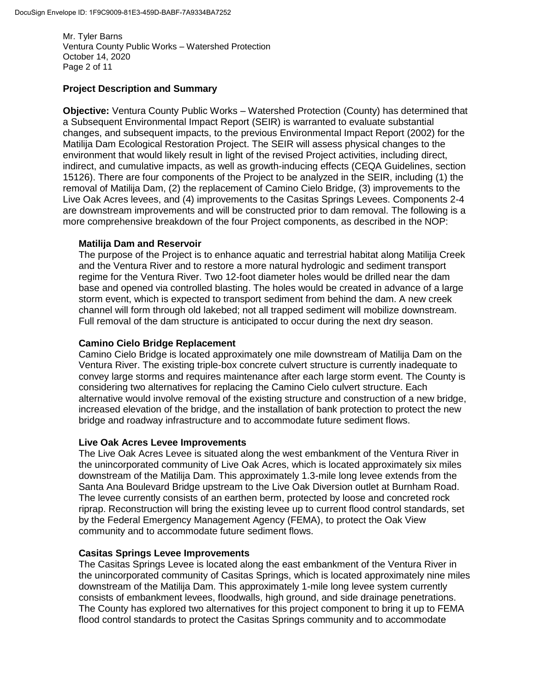Mr. Tyler Barns Ventura County Public Works – Watershed Protection October 14, 2020 Page 2 of 11

## **Project Description and Summary**

**Objective:** Ventura County Public Works – Watershed Protection (County) has determined that a Subsequent Environmental Impact Report (SEIR) is warranted to evaluate substantial changes, and subsequent impacts, to the previous Environmental Impact Report (2002) for the Matilija Dam Ecological Restoration Project. The SEIR will assess physical changes to the environment that would likely result in light of the revised Project activities, including direct, indirect, and cumulative impacts, as well as growth-inducing effects (CEQA Guidelines, section 15126). There are four components of the Project to be analyzed in the SEIR, including (1) the removal of Matilija Dam, (2) the replacement of Camino Cielo Bridge, (3) improvements to the Live Oak Acres levees, and (4) improvements to the Casitas Springs Levees. Components 2-4 are downstream improvements and will be constructed prior to dam removal. The following is a more comprehensive breakdown of the four Project components, as described in the NOP:

#### **Matilija Dam and Reservoir**

The purpose of the Project is to enhance aquatic and terrestrial habitat along Matilija Creek and the Ventura River and to restore a more natural hydrologic and sediment transport regime for the Ventura River. Two 12-foot diameter holes would be drilled near the dam base and opened via controlled blasting. The holes would be created in advance of a large storm event, which is expected to transport sediment from behind the dam. A new creek channel will form through old lakebed; not all trapped sediment will mobilize downstream. Full removal of the dam structure is anticipated to occur during the next dry season.

### **Camino Cielo Bridge Replacement**

Camino Cielo Bridge is located approximately one mile downstream of Matilija Dam on the Ventura River. The existing triple-box concrete culvert structure is currently inadequate to convey large storms and requires maintenance after each large storm event. The County is considering two alternatives for replacing the Camino Cielo culvert structure. Each alternative would involve removal of the existing structure and construction of a new bridge, increased elevation of the bridge, and the installation of bank protection to protect the new bridge and roadway infrastructure and to accommodate future sediment flows.

#### **Live Oak Acres Levee Improvements**

The Live Oak Acres Levee is situated along the west embankment of the Ventura River in the unincorporated community of Live Oak Acres, which is located approximately six miles downstream of the Matilija Dam. This approximately 1.3-mile long levee extends from the Santa Ana Boulevard Bridge upstream to the Live Oak Diversion outlet at Burnham Road. The levee currently consists of an earthen berm, protected by loose and concreted rock riprap. Reconstruction will bring the existing levee up to current flood control standards, set by the Federal Emergency Management Agency (FEMA), to protect the Oak View community and to accommodate future sediment flows.

#### **Casitas Springs Levee Improvements**

The Casitas Springs Levee is located along the east embankment of the Ventura River in the unincorporated community of Casitas Springs, which is located approximately nine miles downstream of the Matilija Dam. This approximately 1-mile long levee system currently consists of embankment levees, floodwalls, high ground, and side drainage penetrations. The County has explored two alternatives for this project component to bring it up to FEMA flood control standards to protect the Casitas Springs community and to accommodate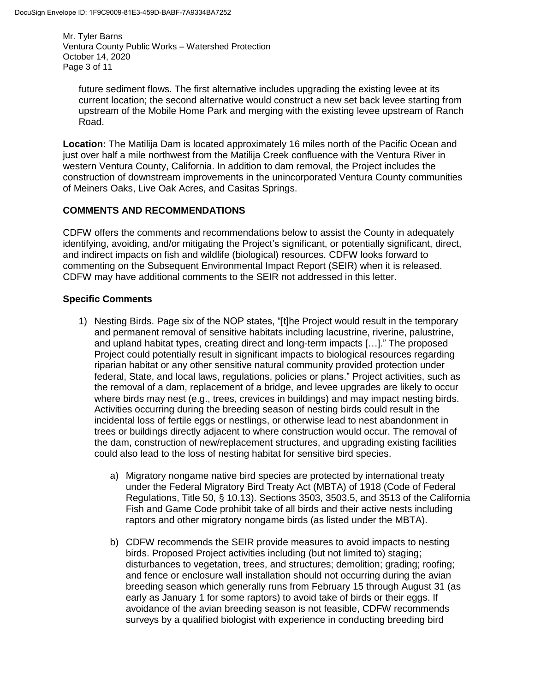Mr. Tyler Barns Ventura County Public Works – Watershed Protection October 14, 2020 Page 3 of 11

future sediment flows. The first alternative includes upgrading the existing levee at its current location; the second alternative would construct a new set back levee starting from upstream of the Mobile Home Park and merging with the existing levee upstream of Ranch Road.

**Location:** The Matilija Dam is located approximately 16 miles north of the Pacific Ocean and just over half a mile northwest from the Matilija Creek confluence with the Ventura River in western Ventura County, California. In addition to dam removal, the Project includes the construction of downstream improvements in the unincorporated Ventura County communities of Meiners Oaks, Live Oak Acres, and Casitas Springs.

#### **COMMENTS AND RECOMMENDATIONS**

CDFW offers the comments and recommendations below to assist the County in adequately identifying, avoiding, and/or mitigating the Project's significant, or potentially significant, direct, and indirect impacts on fish and wildlife (biological) resources. CDFW looks forward to commenting on the Subsequent Environmental Impact Report (SEIR) when it is released. CDFW may have additional comments to the SEIR not addressed in this letter.

#### **Specific Comments**

- 1) Nesting Birds. Page six of the NOP states, "[t]he Project would result in the temporary and permanent removal of sensitive habitats including lacustrine, riverine, palustrine, and upland habitat types, creating direct and long-term impacts […]." The proposed Project could potentially result in significant impacts to biological resources regarding riparian habitat or any other sensitive natural community provided protection under federal, State, and local laws, regulations, policies or plans." Project activities, such as the removal of a dam, replacement of a bridge, and levee upgrades are likely to occur where birds may nest (e.g., trees, crevices in buildings) and may impact nesting birds. Activities occurring during the breeding season of nesting birds could result in the incidental loss of fertile eggs or nestlings, or otherwise lead to nest abandonment in trees or buildings directly adjacent to where construction would occur. The removal of the dam, construction of new/replacement structures, and upgrading existing facilities could also lead to the loss of nesting habitat for sensitive bird species.
	- a) Migratory nongame native bird species are protected by international treaty under the Federal Migratory Bird Treaty Act (MBTA) of 1918 (Code of Federal Regulations, Title 50, § 10.13). Sections 3503, 3503.5, and 3513 of the California Fish and Game Code prohibit take of all birds and their active nests including raptors and other migratory nongame birds (as listed under the MBTA).
	- b) CDFW recommends the SEIR provide measures to avoid impacts to nesting birds. Proposed Project activities including (but not limited to) staging; disturbances to vegetation, trees, and structures; demolition; grading; roofing; and fence or enclosure wall installation should not occurring during the avian breeding season which generally runs from February 15 through August 31 (as early as January 1 for some raptors) to avoid take of birds or their eggs. If avoidance of the avian breeding season is not feasible, CDFW recommends surveys by a qualified biologist with experience in conducting breeding bird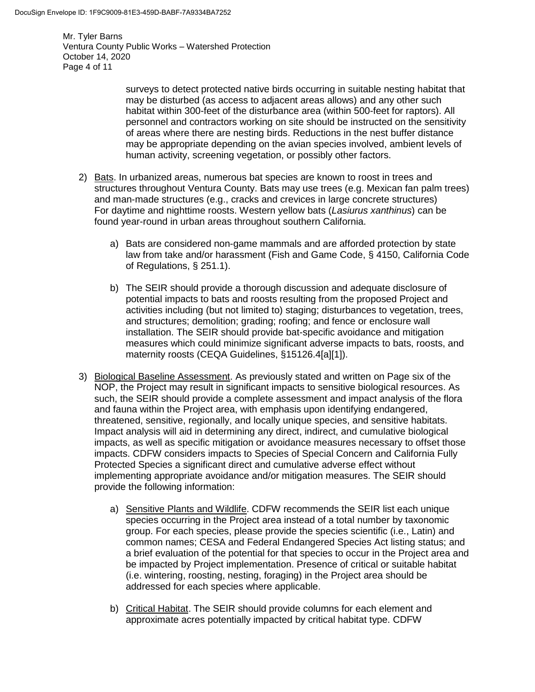Mr. Tyler Barns Ventura County Public Works – Watershed Protection October 14, 2020 Page 4 of 11

> surveys to detect protected native birds occurring in suitable nesting habitat that may be disturbed (as access to adjacent areas allows) and any other such habitat within 300-feet of the disturbance area (within 500-feet for raptors). All personnel and contractors working on site should be instructed on the sensitivity of areas where there are nesting birds. Reductions in the nest buffer distance may be appropriate depending on the avian species involved, ambient levels of human activity, screening vegetation, or possibly other factors.

- 2) Bats. In urbanized areas, numerous bat species are known to roost in trees and structures throughout Ventura County. Bats may use trees (e.g. Mexican fan palm trees) and man-made structures (e.g., cracks and crevices in large concrete structures) For daytime and nighttime roosts. Western yellow bats (*Lasiurus xanthinus*) can be found year-round in urban areas throughout southern California.
	- a) Bats are considered non-game mammals and are afforded protection by state law from take and/or harassment (Fish and Game Code, § 4150, California Code of Regulations, § 251.1).
	- b) The SEIR should provide a thorough discussion and adequate disclosure of potential impacts to bats and roosts resulting from the proposed Project and activities including (but not limited to) staging; disturbances to vegetation, trees, and structures; demolition; grading; roofing; and fence or enclosure wall installation. The SEIR should provide bat-specific avoidance and mitigation measures which could minimize significant adverse impacts to bats, roosts, and maternity roosts (CEQA Guidelines, §15126.4[a][1]).
- 3) Biological Baseline Assessment. As previously stated and written on Page six of the NOP, the Project may result in significant impacts to sensitive biological resources. As such, the SEIR should provide a complete assessment and impact analysis of the flora and fauna within the Project area, with emphasis upon identifying endangered, threatened, sensitive, regionally, and locally unique species, and sensitive habitats. Impact analysis will aid in determining any direct, indirect, and cumulative biological impacts, as well as specific mitigation or avoidance measures necessary to offset those impacts. CDFW considers impacts to Species of Special Concern and California Fully Protected Species a significant direct and cumulative adverse effect without implementing appropriate avoidance and/or mitigation measures. The SEIR should provide the following information:
	- a) Sensitive Plants and Wildlife. CDFW recommends the SEIR list each unique species occurring in the Project area instead of a total number by taxonomic group. For each species, please provide the species scientific (i.e., Latin) and common names; CESA and Federal Endangered Species Act listing status; and a brief evaluation of the potential for that species to occur in the Project area and be impacted by Project implementation. Presence of critical or suitable habitat (i.e. wintering, roosting, nesting, foraging) in the Project area should be addressed for each species where applicable.
	- b) Critical Habitat. The SEIR should provide columns for each element and approximate acres potentially impacted by critical habitat type. CDFW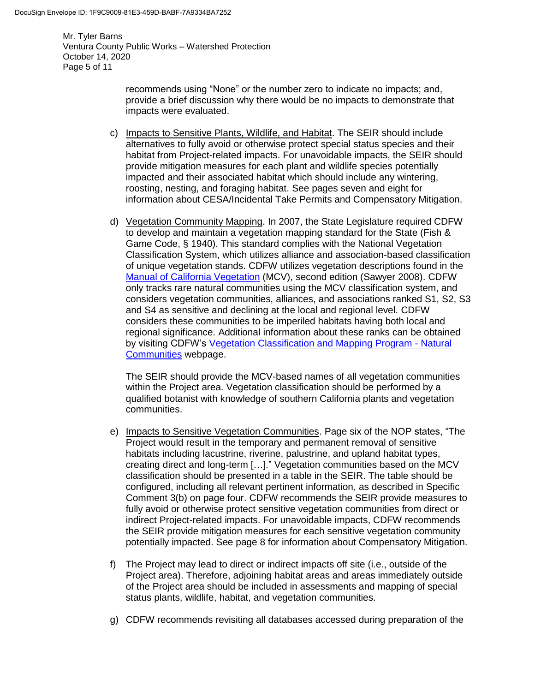Mr. Tyler Barns Ventura County Public Works – Watershed Protection October 14, 2020 Page 5 of 11

> recommends using "None" or the number zero to indicate no impacts; and, provide a brief discussion why there would be no impacts to demonstrate that impacts were evaluated.

- c) Impacts to Sensitive Plants, Wildlife, and Habitat. The SEIR should include alternatives to fully avoid or otherwise protect special status species and their habitat from Project-related impacts. For unavoidable impacts, the SEIR should provide mitigation measures for each plant and wildlife species potentially impacted and their associated habitat which should include any wintering, roosting, nesting, and foraging habitat. See pages seven and eight for information about CESA/Incidental Take Permits and Compensatory Mitigation.
- d) Vegetation Community Mapping. In 2007, the State Legislature required CDFW to develop and maintain a vegetation mapping standard for the State (Fish & Game Code, § 1940). This standard complies with the National Vegetation Classification System, which utilizes alliance and association-based classification of unique vegetation stands. CDFW utilizes vegetation descriptions found in the [Manual of California Vegetation](http://vegetation.cnps.org/) (MCV), second edition (Sawyer 2008). CDFW only tracks rare natural communities using the MCV classification system, and considers vegetation communities, alliances, and associations ranked S1, S2, S3 and S4 as sensitive and declining at the local and regional level. CDFW considers these communities to be imperiled habitats having both local and regional significance. Additional information about these ranks can be obtained by visiting CDFW's [Vegetation Classification and Mapping Program -](https://wildlife.ca.gov/Data/VegCAMP/Natural-Communities) Natural [Communities](https://wildlife.ca.gov/Data/VegCAMP/Natural-Communities) webpage.

The SEIR should provide the MCV-based names of all vegetation communities within the Project area. Vegetation classification should be performed by a qualified botanist with knowledge of southern California plants and vegetation communities.

- e) Impacts to Sensitive Vegetation Communities. Page six of the NOP states, "The Project would result in the temporary and permanent removal of sensitive habitats including lacustrine, riverine, palustrine, and upland habitat types, creating direct and long-term […]." Vegetation communities based on the MCV classification should be presented in a table in the SEIR. The table should be configured, including all relevant pertinent information, as described in Specific Comment 3(b) on page four. CDFW recommends the SEIR provide measures to fully avoid or otherwise protect sensitive vegetation communities from direct or indirect Project-related impacts. For unavoidable impacts, CDFW recommends the SEIR provide mitigation measures for each sensitive vegetation community potentially impacted. See page 8 for information about Compensatory Mitigation.
- f) The Project may lead to direct or indirect impacts off site (i.e., outside of the Project area). Therefore, adjoining habitat areas and areas immediately outside of the Project area should be included in assessments and mapping of special status plants, wildlife, habitat, and vegetation communities.
- g) CDFW recommends revisiting all databases accessed during preparation of the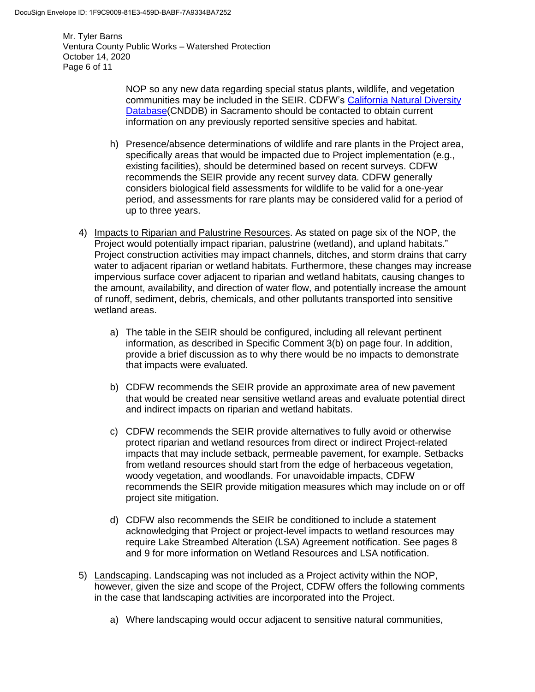Mr. Tyler Barns Ventura County Public Works – Watershed Protection October 14, 2020 Page 6 of 11

> NOP so any new data regarding special status plants, wildlife, and vegetation communities may be included in the SEIR. CDFW's [California Natural Diversity](https://wildlife.ca.gov/data/cnddb)  [Database\(](https://wildlife.ca.gov/data/cnddb)CNDDB) in Sacramento should be contacted to obtain current information on any previously reported sensitive species and habitat.

- h) Presence/absence determinations of wildlife and rare plants in the Project area, specifically areas that would be impacted due to Project implementation (e.g., existing facilities), should be determined based on recent surveys. CDFW recommends the SEIR provide any recent survey data. CDFW generally considers biological field assessments for wildlife to be valid for a one-year period, and assessments for rare plants may be considered valid for a period of up to three years.
- 4) Impacts to Riparian and Palustrine Resources. As stated on page six of the NOP, the Project would potentially impact riparian, palustrine (wetland), and upland habitats." Project construction activities may impact channels, ditches, and storm drains that carry water to adjacent riparian or wetland habitats. Furthermore, these changes may increase impervious surface cover adjacent to riparian and wetland habitats, causing changes to the amount, availability, and direction of water flow, and potentially increase the amount of runoff, sediment, debris, chemicals, and other pollutants transported into sensitive wetland areas.
	- a) The table in the SEIR should be configured, including all relevant pertinent information, as described in Specific Comment 3(b) on page four. In addition, provide a brief discussion as to why there would be no impacts to demonstrate that impacts were evaluated.
	- b) CDFW recommends the SEIR provide an approximate area of new pavement that would be created near sensitive wetland areas and evaluate potential direct and indirect impacts on riparian and wetland habitats.
	- c) CDFW recommends the SEIR provide alternatives to fully avoid or otherwise protect riparian and wetland resources from direct or indirect Project-related impacts that may include setback, permeable pavement, for example. Setbacks from wetland resources should start from the edge of herbaceous vegetation, woody vegetation, and woodlands. For unavoidable impacts, CDFW recommends the SEIR provide mitigation measures which may include on or off project site mitigation.
	- d) CDFW also recommends the SEIR be conditioned to include a statement acknowledging that Project or project-level impacts to wetland resources may require Lake Streambed Alteration (LSA) Agreement notification. See pages 8 and 9 for more information on Wetland Resources and LSA notification.
- 5) Landscaping. Landscaping was not included as a Project activity within the NOP, however, given the size and scope of the Project, CDFW offers the following comments in the case that landscaping activities are incorporated into the Project.
	- a) Where landscaping would occur adjacent to sensitive natural communities,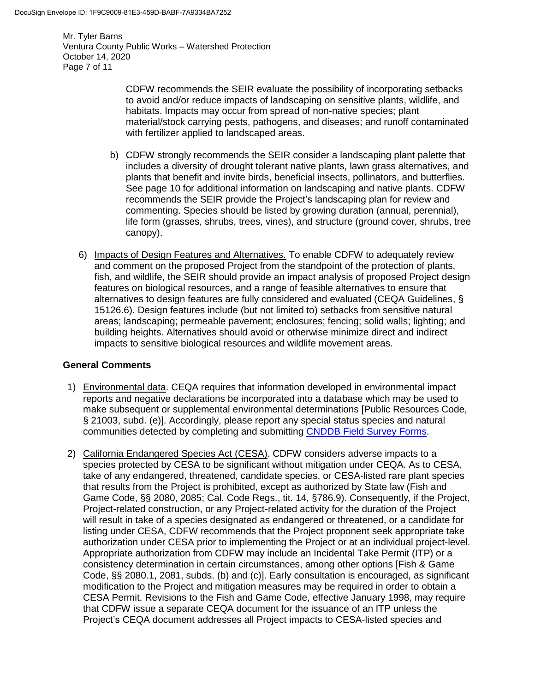Mr. Tyler Barns Ventura County Public Works – Watershed Protection October 14, 2020 Page 7 of 11

> CDFW recommends the SEIR evaluate the possibility of incorporating setbacks to avoid and/or reduce impacts of landscaping on sensitive plants, wildlife, and habitats. Impacts may occur from spread of non-native species; plant material/stock carrying pests, pathogens, and diseases; and runoff contaminated with fertilizer applied to landscaped areas.

- b) CDFW strongly recommends the SEIR consider a landscaping plant palette that includes a diversity of drought tolerant native plants, lawn grass alternatives, and plants that benefit and invite birds, beneficial insects, pollinators, and butterflies. See page 10 for additional information on landscaping and native plants. CDFW recommends the SEIR provide the Project's landscaping plan for review and commenting. Species should be listed by growing duration (annual, perennial), life form (grasses, shrubs, trees, vines), and structure (ground cover, shrubs, tree canopy).
- 6) Impacts of Design Features and Alternatives. To enable CDFW to adequately review and comment on the proposed Project from the standpoint of the protection of plants, fish, and wildlife, the SEIR should provide an impact analysis of proposed Project design features on biological resources, and a range of feasible alternatives to ensure that alternatives to design features are fully considered and evaluated (CEQA Guidelines, § 15126.6). Design features include (but not limited to) setbacks from sensitive natural areas; landscaping; permeable pavement; enclosures; fencing; solid walls; lighting; and building heights. Alternatives should avoid or otherwise minimize direct and indirect impacts to sensitive biological resources and wildlife movement areas.

#### **General Comments**

- 1) Environmental data. CEQA requires that information developed in environmental impact reports and negative declarations be incorporated into a database which may be used to make subsequent or supplemental environmental determinations [Public Resources Code, § 21003, subd. (e)]. Accordingly, please report any special status species and natural communities detected by completing and submitting [CNDDB Field Survey Forms.](https://wildlife.ca.gov/Data/CNDDB/Submitting-Data)
- 2) California Endangered Species Act (CESA). CDFW considers adverse impacts to a species protected by CESA to be significant without mitigation under CEQA. As to CESA, take of any endangered, threatened, candidate species, or CESA-listed rare plant species that results from the Project is prohibited, except as authorized by State law (Fish and Game Code, §§ 2080, 2085; Cal. Code Regs., tit. 14, §786.9). Consequently, if the Project, Project-related construction, or any Project-related activity for the duration of the Project will result in take of a species designated as endangered or threatened, or a candidate for listing under CESA, CDFW recommends that the Project proponent seek appropriate take authorization under CESA prior to implementing the Project or at an individual project-level. Appropriate authorization from CDFW may include an Incidental Take Permit (ITP) or a consistency determination in certain circumstances, among other options [Fish & Game Code, §§ 2080.1, 2081, subds. (b) and (c)]. Early consultation is encouraged, as significant modification to the Project and mitigation measures may be required in order to obtain a CESA Permit. Revisions to the Fish and Game Code, effective January 1998, may require that CDFW issue a separate CEQA document for the issuance of an ITP unless the Project's CEQA document addresses all Project impacts to CESA-listed species and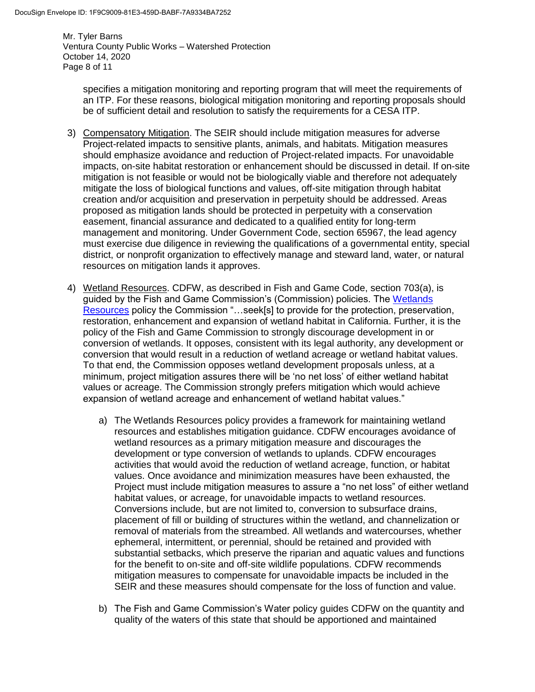Mr. Tyler Barns Ventura County Public Works – Watershed Protection October 14, 2020 Page 8 of 11

specifies a mitigation monitoring and reporting program that will meet the requirements of an ITP. For these reasons, biological mitigation monitoring and reporting proposals should be of sufficient detail and resolution to satisfy the requirements for a CESA ITP.

- 3) Compensatory Mitigation. The SEIR should include mitigation measures for adverse Project-related impacts to sensitive plants, animals, and habitats. Mitigation measures should emphasize avoidance and reduction of Project-related impacts. For unavoidable impacts, on-site habitat restoration or enhancement should be discussed in detail. If on-site mitigation is not feasible or would not be biologically viable and therefore not adequately mitigate the loss of biological functions and values, off-site mitigation through habitat creation and/or acquisition and preservation in perpetuity should be addressed. Areas proposed as mitigation lands should be protected in perpetuity with a conservation easement, financial assurance and dedicated to a qualified entity for long-term management and monitoring. Under Government Code, section 65967, the lead agency must exercise due diligence in reviewing the qualifications of a governmental entity, special district, or nonprofit organization to effectively manage and steward land, water, or natural resources on mitigation lands it approves.
- 4) Wetland Resources. CDFW, as described in Fish and Game Code, section 703(a), is guided by the Fish and Game Commission's (Commission) policies. The [Wetlands](https://fgc.ca.gov/About/Policies/Miscellaneous)  [Resources](https://fgc.ca.gov/About/Policies/Miscellaneous) policy the Commission "...seek[s] to provide for the protection, preservation, restoration, enhancement and expansion of wetland habitat in California. Further, it is the policy of the Fish and Game Commission to strongly discourage development in or conversion of wetlands. It opposes, consistent with its legal authority, any development or conversion that would result in a reduction of wetland acreage or wetland habitat values. To that end, the Commission opposes wetland development proposals unless, at a minimum, project mitigation assures there will be 'no net loss' of either wetland habitat values or acreage. The Commission strongly prefers mitigation which would achieve expansion of wetland acreage and enhancement of wetland habitat values."
	- a) The Wetlands Resources policy provides a framework for maintaining wetland resources and establishes mitigation guidance. CDFW encourages avoidance of wetland resources as a primary mitigation measure and discourages the development or type conversion of wetlands to uplands. CDFW encourages activities that would avoid the reduction of wetland acreage, function, or habitat values. Once avoidance and minimization measures have been exhausted, the Project must include mitigation measures to assure a "no net loss" of either wetland habitat values, or acreage, for unavoidable impacts to wetland resources. Conversions include, but are not limited to, conversion to subsurface drains, placement of fill or building of structures within the wetland, and channelization or removal of materials from the streambed. All wetlands and watercourses, whether ephemeral, intermittent, or perennial, should be retained and provided with substantial setbacks, which preserve the riparian and aquatic values and functions for the benefit to on-site and off-site wildlife populations. CDFW recommends mitigation measures to compensate for unavoidable impacts be included in the SEIR and these measures should compensate for the loss of function and value.
	- b) The Fish and Game Commission's Water policy guides CDFW on the quantity and quality of the waters of this state that should be apportioned and maintained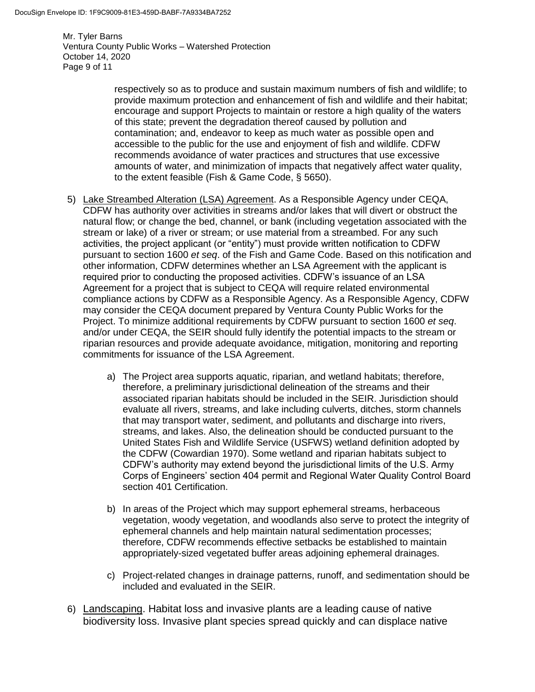Mr. Tyler Barns Ventura County Public Works – Watershed Protection October 14, 2020 Page 9 of 11

> respectively so as to produce and sustain maximum numbers of fish and wildlife; to provide maximum protection and enhancement of fish and wildlife and their habitat; encourage and support Projects to maintain or restore a high quality of the waters of this state; prevent the degradation thereof caused by pollution and contamination; and, endeavor to keep as much water as possible open and accessible to the public for the use and enjoyment of fish and wildlife. CDFW recommends avoidance of water practices and structures that use excessive amounts of water, and minimization of impacts that negatively affect water quality, to the extent feasible (Fish & Game Code, § 5650).

- 5) Lake Streambed Alteration (LSA) Agreement. As a Responsible Agency under CEQA, CDFW has authority over activities in streams and/or lakes that will divert or obstruct the natural flow; or change the bed, channel, or bank (including vegetation associated with the stream or lake) of a river or stream; or use material from a streambed. For any such activities, the project applicant (or "entity") must provide written notification to CDFW pursuant to section 1600 *et seq*. of the Fish and Game Code. Based on this notification and other information, CDFW determines whether an LSA Agreement with the applicant is required prior to conducting the proposed activities. CDFW's issuance of an LSA Agreement for a project that is subject to CEQA will require related environmental compliance actions by CDFW as a Responsible Agency. As a Responsible Agency, CDFW may consider the CEQA document prepared by Ventura County Public Works for the Project. To minimize additional requirements by CDFW pursuant to section 1600 *et seq*. and/or under CEQA, the SEIR should fully identify the potential impacts to the stream or riparian resources and provide adequate avoidance, mitigation, monitoring and reporting commitments for issuance of the LSA Agreement.
	- a) The Project area supports aquatic, riparian, and wetland habitats; therefore, therefore, a preliminary jurisdictional delineation of the streams and their associated riparian habitats should be included in the SEIR. Jurisdiction should evaluate all rivers, streams, and lake including culverts, ditches, storm channels that may transport water, sediment, and pollutants and discharge into rivers, streams, and lakes. Also, the delineation should be conducted pursuant to the United States Fish and Wildlife Service (USFWS) wetland definition adopted by the CDFW (Cowardian 1970). Some wetland and riparian habitats subject to CDFW's authority may extend beyond the jurisdictional limits of the U.S. Army Corps of Engineers' section 404 permit and Regional Water Quality Control Board section 401 Certification.
	- b) In areas of the Project which may support ephemeral streams, herbaceous vegetation, woody vegetation, and woodlands also serve to protect the integrity of ephemeral channels and help maintain natural sedimentation processes; therefore, CDFW recommends effective setbacks be established to maintain appropriately-sized vegetated buffer areas adjoining ephemeral drainages.
	- c) Project-related changes in drainage patterns, runoff, and sedimentation should be included and evaluated in the SEIR.
- 6) Landscaping. Habitat loss and invasive plants are a leading cause of native biodiversity loss. Invasive plant species spread quickly and can displace native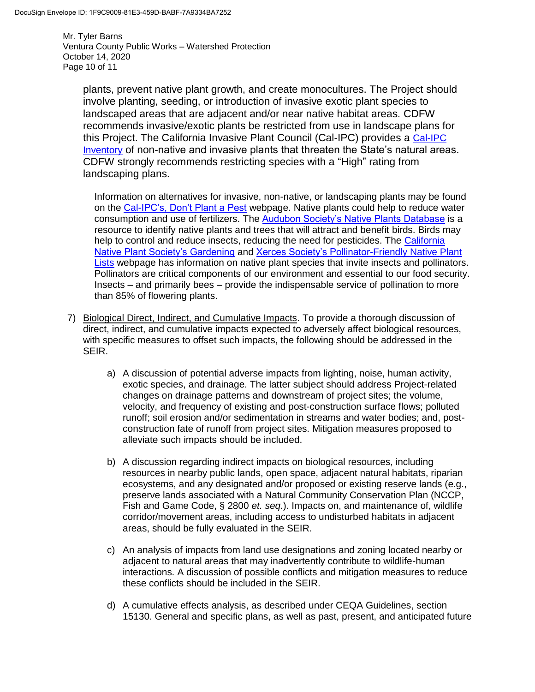Mr. Tyler Barns Ventura County Public Works – Watershed Protection October 14, 2020 Page 10 of 11

plants, prevent native plant growth, and create monocultures. The Project should involve planting, seeding, or introduction of invasive exotic plant species to landscaped areas that are adjacent and/or near native habitat areas. CDFW recommends invasive/exotic plants be restricted from use in landscape plans for this Project. The California Invasive Plant Council (Cal-IPC) provides a [Cal-IPC](https://www.cal-ipc.org/plants/inventory/)  [Inventory](https://www.cal-ipc.org/plants/inventory/) of non-native and invasive plants that threaten the State's natural areas. CDFW strongly recommends restricting species with a "High" rating from landscaping plans.

Information on alternatives for invasive, non-native, or landscaping plants may be found on the [Cal-IPC's, Don't Plant a Pest](https://www.cal-ipc.org/solutions/prevention/landscaping/dpp/) webpage. Native plants could help to reduce water consumption and use of fertilizers. The [Audubon Society's Native Plants Database](https://www.audubon.org/native-plants) is a resource to identify native plants and trees that will attract and benefit birds. Birds may help to control and reduce insects, reducing the need for pesticides. The California [Native Plant Society's Gardening](https://www.cnps.org/gardening) and [Xerces Society's Pollinator-Friendly Native Plant](https://xerces.org/pollinator-conservation/pollinator-friendly-plant-lists)  [Lists](https://xerces.org/pollinator-conservation/pollinator-friendly-plant-lists) webpage has information on native plant species that invite insects and pollinators. Pollinators are critical components of our environment and essential to our food security. Insects – and primarily bees – provide the indispensable service of pollination to more than 85% of flowering plants.

- 7) Biological Direct, Indirect, and Cumulative Impacts. To provide a thorough discussion of direct, indirect, and cumulative impacts expected to adversely affect biological resources, with specific measures to offset such impacts, the following should be addressed in the SEIR.
	- a) A discussion of potential adverse impacts from lighting, noise, human activity, exotic species, and drainage. The latter subject should address Project-related changes on drainage patterns and downstream of project sites; the volume, velocity, and frequency of existing and post-construction surface flows; polluted runoff; soil erosion and/or sedimentation in streams and water bodies; and, postconstruction fate of runoff from project sites. Mitigation measures proposed to alleviate such impacts should be included.
	- b) A discussion regarding indirect impacts on biological resources, including resources in nearby public lands, open space, adjacent natural habitats, riparian ecosystems, and any designated and/or proposed or existing reserve lands (e.g., preserve lands associated with a Natural Community Conservation Plan (NCCP, Fish and Game Code, § 2800 *et. seq.*). Impacts on, and maintenance of, wildlife corridor/movement areas, including access to undisturbed habitats in adjacent areas, should be fully evaluated in the SEIR.
	- c) An analysis of impacts from land use designations and zoning located nearby or adjacent to natural areas that may inadvertently contribute to wildlife-human interactions. A discussion of possible conflicts and mitigation measures to reduce these conflicts should be included in the SEIR.
	- d) A cumulative effects analysis, as described under CEQA Guidelines, section 15130. General and specific plans, as well as past, present, and anticipated future